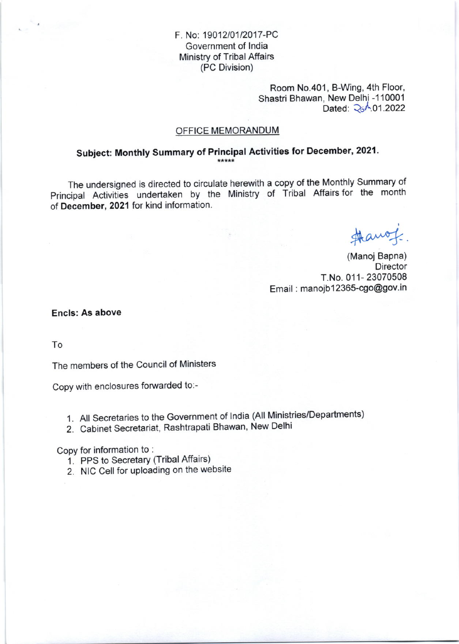# F. No: 19012/01/2017-PC Government of lndia Ministry of Tribal Affairs (PC Division)

Room No.401, B-Wing, 4th Floor, Shastri Bhawan, New Delhi -110001 Dated: 26<sup>A</sup>.01.2022

#### OFFICE MEMORANDUM

# Subject: Monthly Summary of Principal Activities for December, 2021.

The undersigned is directed to circulate herewith a copy of the Monthly Summary of Principal Activities undertaken by the Ministry of Tribal Affairs for the month of December, 2021 for kind information

Hanof.

(Manoj Bapna) **Director** T.No. 011- 23070508 Email: manojb12365-cgo@gov.in

Encls: As above

To

The members of the Council of Ministers

Copy with enclosures forwarded to:-

- 1. All Secretaries to the Government of lndia (All Ministries/Departments)
- 2. Cabinet Secretariat, Rashtrapati Bhawan, New Delhi

Copy for information to :

- 1. PPS to Secretary (Tribal Affairs)
- 2. NIC Cell for uploading on the website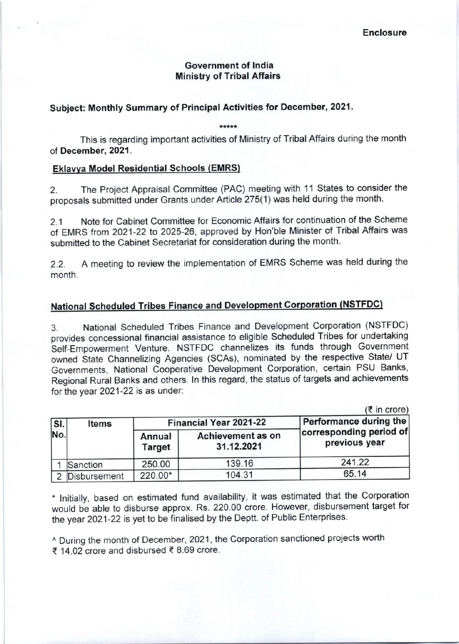# Government of lndia Ministry of Tribal Affairs

# Subject: Monthly Summary of Principal Activities for Decomber, 2021.

This is regarding important activities of Ministry of Tribal Affairs during the month of December, 2021.

# Eklawa Model Residential Schools (EMRs)

2. The Project Appraisal Committee (PAC) meeting with 11 States to consider the proposals submitted under Grants under Article 275(1) was held during the month.

2.1 Note for Cabinet Committee for Economic Atfairs for continuation of the Scheme of EMRS from 2021-22 to 2025-26, approved by Hon'ble Minister of Tribal Affairs was submitted to the Cabinet Secretariat for consideration during the month

2.2. <sup>A</sup>meeting to review the implementation of EMRS Scheme was held during the month.

# National Scheduled Tribes Finance and Development Corporation (NSTFDC)

3. National Scheduled Tribes Finance and Development Corporation (NSTFDC) provides concessional financial assistance to eligible Scheduled Tribes for undertaking Self-Empowerment Venture. NSTFDC channelizes its funds through Government owned State Channelizing Agencies (SCAS), nominated by the respective State/ UT Governments, National cooperative Development Corporation, certain PSU Banks, Regional Rural Banks and others. ln this regard, the status of targets and achievements for the year 2021-22 is as under:

|                |              |                               |                                 | $(3\overline{5})$ in crore)              |
|----------------|--------------|-------------------------------|---------------------------------|------------------------------------------|
| $ S $ .<br>No. | <b>Items</b> | <b>Financial Year 2021-22</b> |                                 | Performance during the                   |
|                |              | Annual<br><b>Target</b>       | Achievement as on<br>31.12.2021 | corresponding period of<br>previous year |
|                | Sanction     | 250.00                        | 139.16                          | 241.22                                   |
|                | Disbursement | 220.00*                       | 104.31                          | 65.14                                    |

" lnitially, based on estimated fund availabiiity, it was estimated that the Corporation would be able to disburse approx. Rs. 22O.OO crore However, disbursement target for the year 2021-22 is yet to be finalised by the Deptt. of Public Enterprises.

^ During the month of December, 202'1, the Corporation sanctioned projects worth ₹ 14.02 crore and disbursed ₹ 8.69 crore.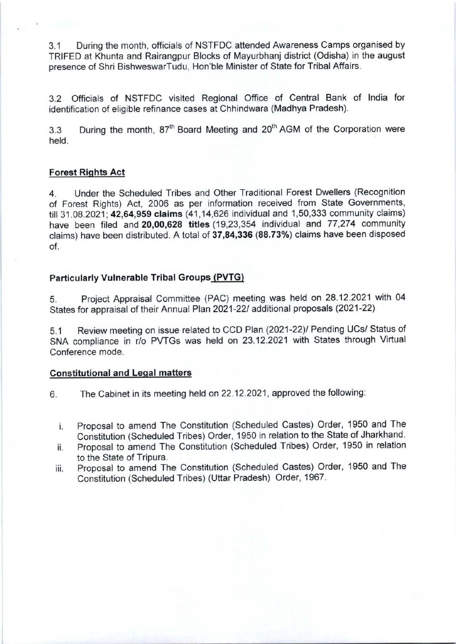3.1 During the month, officials of NSTFDC attended Awareness Camps organised by TRIFED at Khunta and Rairangpur Blocks of Mayurbhanj district (Odisha) in the august presence of Shri BishweswarTudu, Hon'ble Minister of State for Tribal Affairs.

3.2 Officials of NSTFDC visited Regional Office of Central Bank of lndia for identification of eligible refinance cases at Chhindwara (Madhya Pradesh).

3.3 During the month, 87<sup>th</sup> Board Meeting and 20<sup>th</sup> AGM of the Corporation were held.

#### Forest Riqhts Act

4. Under the Scheduled Tribes and Other Traditional Forest Dwellers (Recognition of Forest Rights) Act, 2006 as per information received from State Governments, till 31.08.2021; 42,64,959 claims (41,14,626 individual and 1,50,333 community claims) have been filed and 20,00,628 titles (19,23,354 individual and 77,274 community claims) have been distributed. A total of 37,84,336 (88.73%) claims have been disposed of

## Particularly Vulnerable Tribal Groups (PVTG)

5. Project Appraisal Committee (PAC) meeting was held on 28.12.2021 with 04 States for appraisal of their Annual Plan 2021-22/ additional proposals (2021-22)

5.1 Review meeting on issue related to CCD Plan (2021-22)/ Pending UCs/ Status of SNA compliance in r/o PWGS was held on 23.12.2021 with States through Virtual Conference mode.

# **Constitutional and Legal matters**

6. The Cabinet in its meeting held on 22.12.2021, approved the following:

- Proposal to amend The Constitution (Scheduled Castes) Order, 1950 and The i. Constitution (Scheduled Tribes) Order, 1950 in relation to the State of Jharkhand.
- ii. Proposal to amend The Constitution (Scheduled Tribes) Order, 1950 in relation to the State of Tripura.
- iii. Proposal to amend The Constitution (Scheduled Castes) Order, 1950 and The Constitution (Scheduled Tribes) (Uttar Pradesh) Order, 1967.